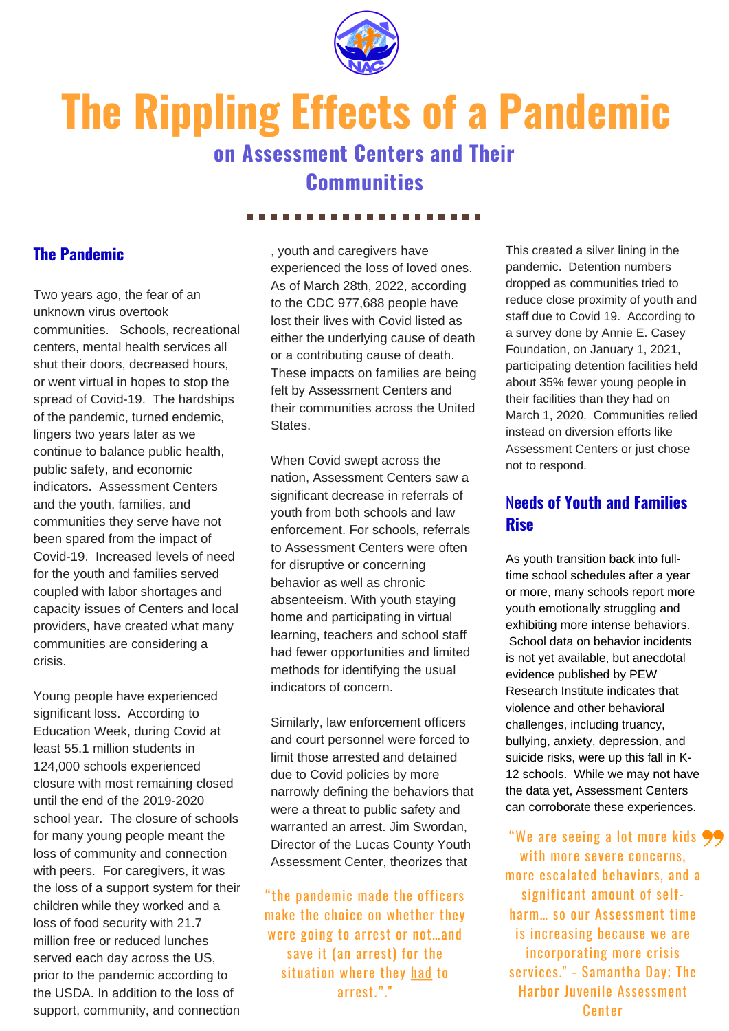

# **The Rippling Effects of a Pandemic**

## **on Assessment Centers and Their Communities**

#### ...................

#### **The Pandemic**

Two years ago, the fear of an unknown virus overtook communities. Schools, recreational centers, mental health services all shut their doors, decreased hours, or went virtual in hopes to stop the spread of Covid-19. The hardships of the pandemic, turned endemic, lingers two years later as we continue to balance public health, public safety, and economic indicators. Assessment Centers and the youth, families, and communities they serve have not been spared from the impact of Covid-19. Increased levels of need for the youth and families served coupled with labor shortages and capacity issues of Centers and local providers, have created what many communities are considering a crisis.

Young people have experienced significant loss. According to Education Week, during Covid at least 55.1 million students in 124,000 schools experienced closure with most remaining closed until the end of the 2019-2020 school year. The closure of schools for many young people meant the loss of community and connection with peers. For caregivers, it was the loss of a support system for their children while they worked and a loss of food security with 21.7 million free or reduced lunches served each day across the US, prior to the pandemic according to the USDA. In addition to the loss of support, community, and connection

, youth and caregivers have experienced the loss of loved ones. As of March 28th, 2022, according to the CDC 977,688 people have lost their lives with Covid listed as either the underlying cause of death or a contributing cause of death. These impacts on families are being felt by Assessment Centers and their communities across the United **States** 

When Covid swept across the nation, Assessment Centers saw a significant decrease in referrals of youth from both schools and law enforcement. For schools, referrals to Assessment Centers were often for disruptive or concerning behavior as well as chronic absenteeism. With youth staying home and participating in virtual learning, teachers and school staff had fewer opportunities and limited methods for identifying the usual indicators of concern.

Similarly, law enforcement officers and court personnel were forced to limit those arrested and detained due to Covid policies by more narrowly defining the behaviors that were a threat to public safety and warranted an arrest. Jim Swordan, Director of the Lucas County Youth Assessment Center, theorizes that

"the pandemic made the officers make the choice on whether they were going to arrest or not…and save it (an arrest) for the situation where they had to arrest. " . "

This created a silver lining in the pandemic. Detention numbers dropped as communities tried to reduce close proximity of youth and staff due to Covid 19. According to a survey done by Annie E. Casey Foundation, on January 1, 2021, participating detention facilities held about 35% fewer young people in their facilities than they had on March 1, 2020. Communities relied instead on diversion efforts like Assessment Centers or just chose not to respond.

### N**eeds of Youth and Families Rise**

As youth transition back into fulltime school schedules after a year or more, many schools report more youth emotionally struggling and exhibiting more intense behaviors. School data on behavior incidents is not yet available, but anecdotal evidence published by PEW Research Institute indicates that violence and other behavioral challenges, including truancy, bullying, anxiety, depression, and suicide risks, were up this fall in K-12 schools. While we may not have the data yet, Assessment Centers can corroborate these experiences.

"We are seeing a lot more kids with more severe concerns, more escalated behaviors, and a significant amount of selfharm… so our Assessment time is increasing because we are incorporating more crisis services. " - Samantha Day; The Harbor Juvenile Assessment Center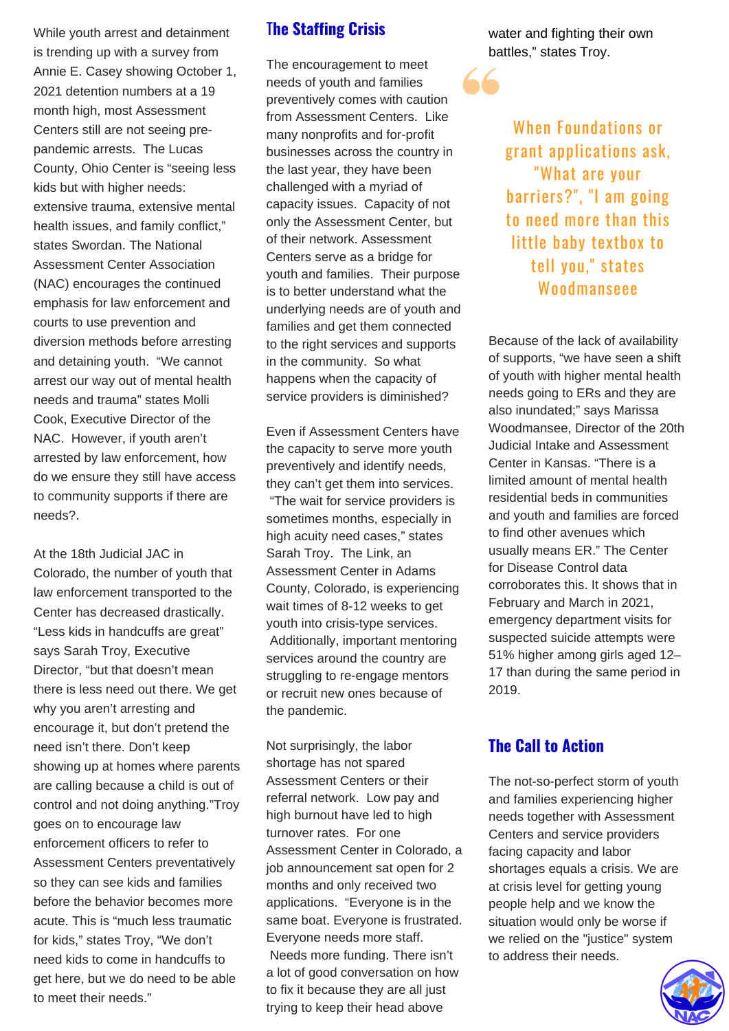While youth arrest and detainment is trending up with a survey from Annie E. Casey showing October 1, 2021 detention numbers at a 19 month high, most Assessment Centers still are not seeing prepandemic arrests. The Lucas County, Ohio Center is "seeing less kids but with higher needs: extensive trauma, extensive mental health issues, and family conflict," states Swordan. The National Assessment Center Association (NAC) encourages the continued emphasis for law enforcement and courts to use prevention and diversion methods before arresting and detaining youth. "We cannot arrest our way out of mental health needs and trauma" states Molli Cook, Executive Director of the NAC. However, if youth aren't arrested by law enforcement, how do we ensure they still have access to community supports if there are needs?.

At the 18th Judicial JAC in Colorado, the number of youth that law enforcement transported to the Center has decreased drastically. "Less kids in handcuffs are great" says Sarah Troy, Executive Director, "but that doesn't mean there is less need out there. We get why you aren't arresting and encourage it, but don't pretend the need isn't there. Don't keep showing up at homes where parents are calling because a child is out of control and not doing anything."Troy goes on to encourage law enforcement officers to refer to Assessment Centers preventatively so they can see kids and families before the behavior becomes more acute. This is "much less traumatic for kids," states Troy, "We don't need kids to come in handcuffs to get here, but we do need to be able to meet their needs."

#### T**he Staffing Crisis**

The encouragement to meet needs of youth and families preventively comes with caution from Assessment Centers. Like many nonprofits and for-profit businesses across the country in the last year, they have been challenged with a myriad of capacity issues. Capacity of not only the Assessment Center, but of their network. Assessment Centers serve as a bridge for youth and families. Their purpose is to better understand what the underlying needs are of youth and families and get them connected to the right services and supports in the community. So what happens when the capacity of service providers is diminished?

Even if Assessment Centers have the capacity to serve more youth preventively and identify needs, they can't get them into services. "The wait for service providers is sometimes months, especially in high acuity need cases," states Sarah Troy. The Link, an Assessment Center in Adams County, Colorado, is experiencing wait times of 8-12 weeks to get youth into crisis-type services. Additionally, important mentoring services around the country are struggling to re-engage mentors or recruit new ones because of the pandemic.

Not surprisingly, the labor shortage has not spared Assessment Centers or their referral network. Low pay and high burnout have led to high turnover rates. For one Assessment Center in Colorado, a job announcement sat open for 2 months and only received two applications. "Everyone is in the same boat. Everyone is frustrated. Everyone needs more staff. Needs more funding. There isn't a lot of good conversation on how to fix it because they are all just trying to keep their head above

water and fighting their own battles," states Troy.

When Foundations or grant applications ask, "What are your barriers?" , "I am going to need more than this little baby textbox to tell you, " states Woodmanseee

Because of the lack of availability of supports, "we have seen a shift of youth with higher mental health needs going to ERs and they are also inundated;" says Marissa Woodmansee, Director of the 20th Judicial Intake and Assessment Center in Kansas. "There is a limited amount of mental health residential beds in communities and youth and families are forced to find other avenues which usually means ER." The Center for Disease Control data corroborates this. It shows that in February and March in 2021, emergency department visits for suspected suicide attempts were 51% higher among girls aged 12– 17 than during the same period in 2019.

#### **The Call to Action**

The not-so-perfect storm of youth and families experiencing higher needs together with Assessment Centers and service providers facing capacity and labor shortages equals a crisis. We are at crisis level for getting young people help and we know the situation would only be worse if we relied on the "justice" system to address their needs.